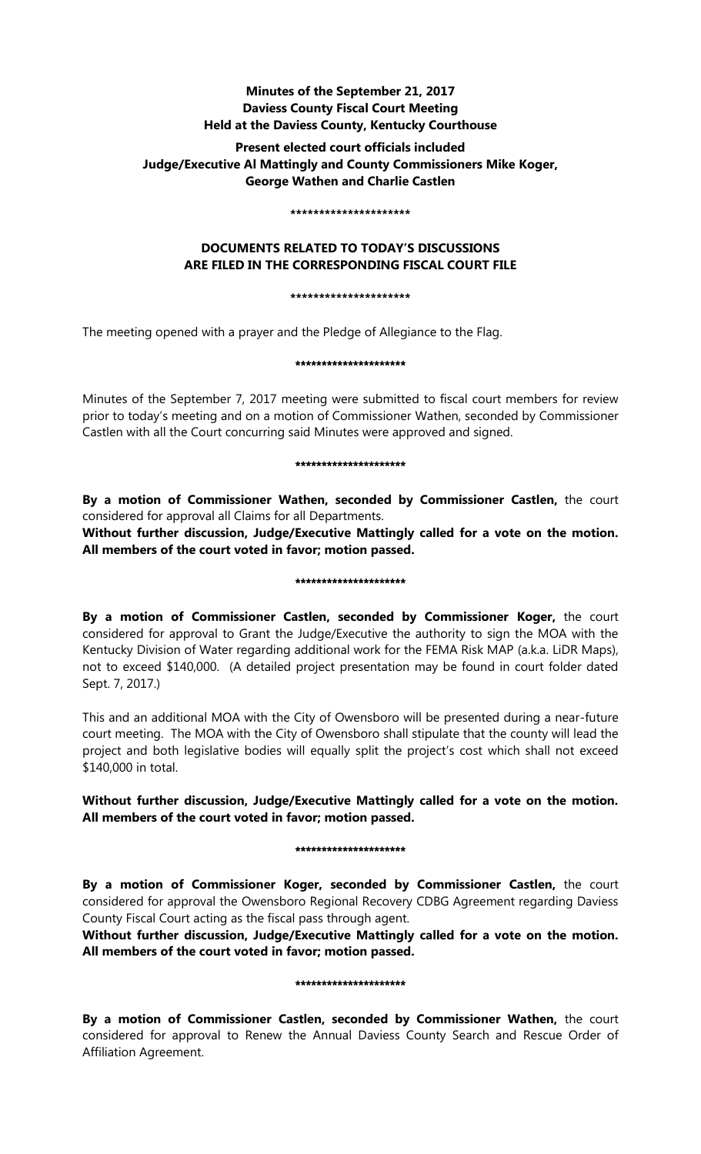# **Minutes of the September 21, 2017 Daviess County Fiscal Court Meeting Held at the Daviess County, Kentucky Courthouse**

# **Present elected court officials included Judge/Executive Al Mattingly and County Commissioners Mike Koger, George Wathen and Charlie Castlen**

#### **\*\*\*\*\*\*\*\*\*\*\*\*\*\*\*\*\*\*\*\*\***

# **DOCUMENTS RELATED TO TODAY'S DISCUSSIONS ARE FILED IN THE CORRESPONDING FISCAL COURT FILE**

**\*\*\*\*\*\*\*\*\*\*\*\*\*\*\*\*\*\*\*\*\***

The meeting opened with a prayer and the Pledge of Allegiance to the Flag.

## \*\*\*\*\*\*\*\*\*\*\*\*\*\*\*\*\*\*\*\*\*

Minutes of the September 7, 2017 meeting were submitted to fiscal court members for review prior to today's meeting and on a motion of Commissioner Wathen, seconded by Commissioner Castlen with all the Court concurring said Minutes were approved and signed.

### \*\*\*\*\*\*\*\*\*\*\*\*\*\*\*\*\*\*\*\*\*

**By a motion of Commissioner Wathen, seconded by Commissioner Castlen,** the court considered for approval all Claims for all Departments.

**Without further discussion, Judge/Executive Mattingly called for a vote on the motion. All members of the court voted in favor; motion passed.** 

### \*\*\*\*\*\*\*\*\*\*\*\*\*\*\*\*\*\*\*\*\*

**By a motion of Commissioner Castlen, seconded by Commissioner Koger,** the court considered for approval to Grant the Judge/Executive the authority to sign the MOA with the Kentucky Division of Water regarding additional work for the FEMA Risk MAP (a.k.a. LiDR Maps), not to exceed \$140,000. (A detailed project presentation may be found in court folder dated Sept. 7, 2017.)

This and an additional MOA with the City of Owensboro will be presented during a near-future court meeting. The MOA with the City of Owensboro shall stipulate that the county will lead the project and both legislative bodies will equally split the project's cost which shall not exceed \$140,000 in total.

# **Without further discussion, Judge/Executive Mattingly called for a vote on the motion. All members of the court voted in favor; motion passed.**

## \*\*\*\*\*\*\*\*\*\*\*\*\*\*\*\*\*\*\*\*\*

**By a motion of Commissioner Koger, seconded by Commissioner Castlen,** the court considered for approval the Owensboro Regional Recovery CDBG Agreement regarding Daviess County Fiscal Court acting as the fiscal pass through agent.

**Without further discussion, Judge/Executive Mattingly called for a vote on the motion. All members of the court voted in favor; motion passed.** 

## \*\*\*\*\*\*\*\*\*\*\*\*\*\*\*\*\*\*\*\*\*

**By a motion of Commissioner Castlen, seconded by Commissioner Wathen,** the court considered for approval to Renew the Annual Daviess County Search and Rescue Order of Affiliation Agreement.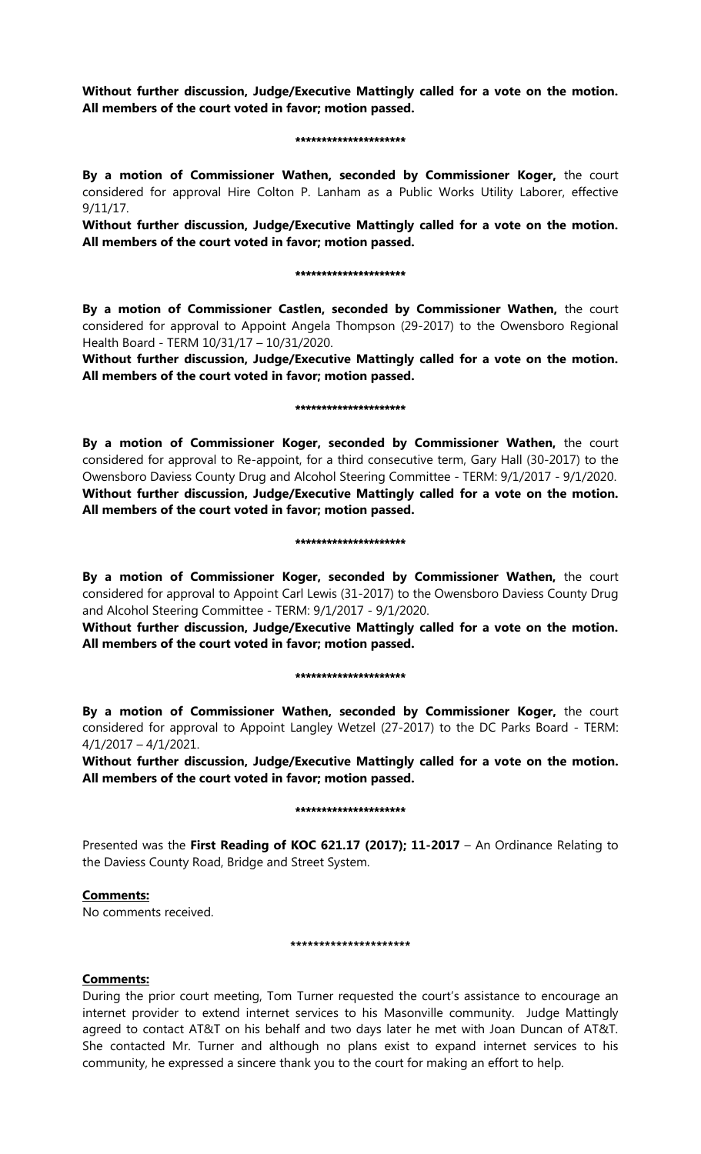**Without further discussion, Judge/Executive Mattingly called for a vote on the motion. All members of the court voted in favor; motion passed.** 

#### \*\*\*\*\*\*\*\*\*\*\*\*\*\*\*\*\*\*\*\*\*

**By a motion of Commissioner Wathen, seconded by Commissioner Koger,** the court considered for approval Hire Colton P. Lanham as a Public Works Utility Laborer, effective 9/11/17.

**Without further discussion, Judge/Executive Mattingly called for a vote on the motion. All members of the court voted in favor; motion passed.** 

### \*\*\*\*\*\*\*\*\*\*\*\*\*\*\*\*\*\*\*\*\*

**By a motion of Commissioner Castlen, seconded by Commissioner Wathen,** the court considered for approval to Appoint Angela Thompson (29-2017) to the Owensboro Regional Health Board - TERM 10/31/17 – 10/31/2020.

**Without further discussion, Judge/Executive Mattingly called for a vote on the motion. All members of the court voted in favor; motion passed.** 

#### \*\*\*\*\*\*\*\*\*\*\*\*\*\*\*\*\*\*

**By a motion of Commissioner Koger, seconded by Commissioner Wathen,** the court considered for approval to Re-appoint, for a third consecutive term, Gary Hall (30-2017) to the Owensboro Daviess County Drug and Alcohol Steering Committee - TERM: 9/1/2017 - 9/1/2020. **Without further discussion, Judge/Executive Mattingly called for a vote on the motion. All members of the court voted in favor; motion passed.** 

#### \*\*\*\*\*\*\*\*\*\*\*\*\*\*\*\*\*\*\*\*\*

**By a motion of Commissioner Koger, seconded by Commissioner Wathen,** the court considered for approval to Appoint Carl Lewis (31-2017) to the Owensboro Daviess County Drug and Alcohol Steering Committee - TERM: 9/1/2017 - 9/1/2020.

**Without further discussion, Judge/Executive Mattingly called for a vote on the motion. All members of the court voted in favor; motion passed.** 

### \*\*\*\*\*\*\*\*\*\*\*\*\*\*\*\*\*\*\*\*\*

**By a motion of Commissioner Wathen, seconded by Commissioner Koger,** the court considered for approval to Appoint Langley Wetzel (27-2017) to the DC Parks Board - TERM: 4/1/2017 – 4/1/2021.

**Without further discussion, Judge/Executive Mattingly called for a vote on the motion. All members of the court voted in favor; motion passed.** 

### \*\*\*\*\*\*\*\*\*\*\*\*\*\*\*\*\*\*\*\*\*

Presented was the **First Reading of KOC 621.17 (2017); 11-2017** – An Ordinance Relating to the Daviess County Road, Bridge and Street System.

## **Comments:**

No comments received.

## **\*\*\*\*\*\*\*\*\*\*\*\*\*\*\*\*\*\*\*\*\***

## **Comments:**

During the prior court meeting, Tom Turner requested the court's assistance to encourage an internet provider to extend internet services to his Masonville community. Judge Mattingly agreed to contact AT&T on his behalf and two days later he met with Joan Duncan of AT&T. She contacted Mr. Turner and although no plans exist to expand internet services to his community, he expressed a sincere thank you to the court for making an effort to help.